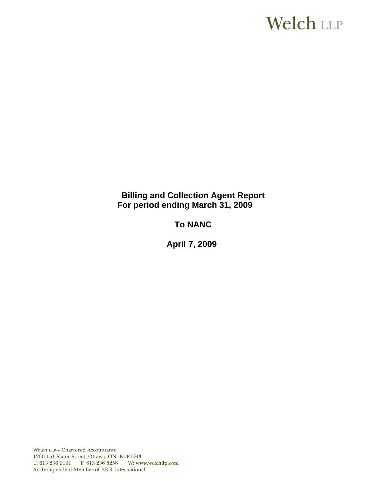# Welch LLP

# **Billing and Collection Agent Report For period ending March 31, 2009**

# **To NANC**

 **April 7, 2009**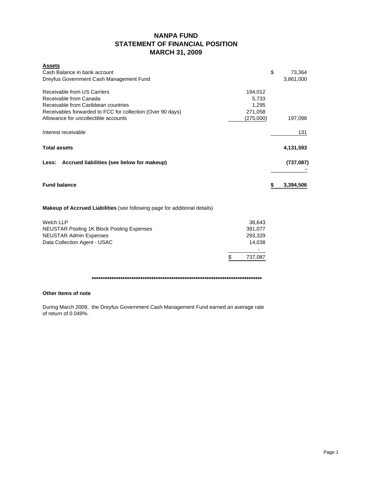# **NANPA FUND STATEMENT OF FINANCIAL POSITION MARCH 31, 2009**

| <b>Assets</b><br>Cash Balance in bank account<br>Dreyfus Government Cash Management Fund                                                                                                           |                                                         | \$<br>73.364<br>3,861,000 |
|----------------------------------------------------------------------------------------------------------------------------------------------------------------------------------------------------|---------------------------------------------------------|---------------------------|
| Receivable from US Carriers<br>Receivable from Canada<br>Receivable from Caribbean countries<br>Receivables forwarded to FCC for collection (Over 90 days)<br>Allowance for uncollectible accounts | 194,012<br>5,733<br>1,295<br>271,058<br>(275,000)       | 197,098                   |
| Interest receivable                                                                                                                                                                                |                                                         | 131                       |
| <b>Total assets</b>                                                                                                                                                                                |                                                         | 4,131,593                 |
| Accrued liabilities (see below for makeup)<br>Less:                                                                                                                                                |                                                         | (737, 087)                |
| <b>Fund balance</b>                                                                                                                                                                                |                                                         | \$<br>3,394,506           |
| <b>Makeup of Accrued Liabilities</b> (see following page for additional details)                                                                                                                   |                                                         |                           |
| <b>Welch LLP</b><br><b>NEUSTAR Pooling 1K Block Pooling Expenses</b><br><b>NEUSTAR Admin Expenses</b><br>Data Collection Agent - USAC                                                              | 38,643<br>391,077<br>293,329<br>14,038<br>\$<br>737,087 |                           |

**\*\*\*\*\*\*\*\*\*\*\*\*\*\*\*\*\*\*\*\*\*\*\*\*\*\*\*\*\*\*\*\*\*\*\*\*\*\*\*\*\*\*\*\*\*\*\*\*\*\*\*\*\*\*\*\*\*\*\*\*\*\*\*\*\*\*\*\*\*\*\*\*\*\*\*\*\***

### **Other items of note**

During March 2009, the Dreyfus Government Cash Management Fund earned an average rate of return of 0.049%.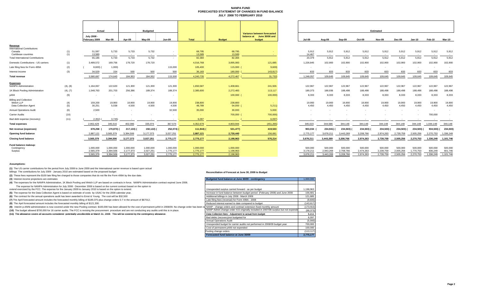#### **NANPA FUND FORECASTED STATEMENT OF CHANGES IN FUND BALANCEJULY 2008 TO FEBRUARY 2010**

|                                                                     |             | Actual                       |                        |                        | <b>Budgeted</b>          |                        |                        |                        |                                                                    |                      |                      |                          |                      | Estimated            |                          |                      |                    |                    |
|---------------------------------------------------------------------|-------------|------------------------------|------------------------|------------------------|--------------------------|------------------------|------------------------|------------------------|--------------------------------------------------------------------|----------------------|----------------------|--------------------------|----------------------|----------------------|--------------------------|----------------------|--------------------|--------------------|
|                                                                     |             | July 2008 -<br>February 2009 | Mar-09                 | Apr-09                 | May-09                   | <b>Jun-09</b>          | <b>Total</b>           | <b>Budget</b>          | Variance between forecasted<br>balance at June 30/08 and<br>budget | <b>Jul-09</b>        | Aug-09               | Sep-09                   | Oct-09               | <b>Nov-09</b>        | Dec-09                   | $Jan-10$             | Feb-10             | <b>Mar-10</b>      |
| Revenue                                                             |             |                              |                        |                        |                          |                        |                        |                        |                                                                    |                      |                      |                          |                      |                      |                          |                      |                    |                    |
| <b>International Contributions</b><br>Canada                        | (1)         | 51,597                       | 5,733                  | 5,733                  | 5,732                    |                        | 68,795                 | 68,795                 |                                                                    | 5,912                | 5,912                | 5,912                    | 5,912                | 5,912                | 5,912                    | 5,912                | 5,912              | 5,912              |
| Caribbean countries                                                 | (1)         | 13,589                       | $\sim$                 | $\sim$                 | $\sim$ $-$               | $\sim$                 | 13,589                 | 13,589                 | <b>Contract</b>                                                    | 14,467               | $\sim$               | $\sim$                   | $\sim$               | $\sim$               | $\sim$                   | $\sim$               | $\sim$             | $\sim$             |
| <b>Total International Contributions</b>                            |             | 65,186                       | 5,733                  | 5,733                  | 5,732                    |                        | 82,384                 | 82,384                 |                                                                    | 20,379               | 5,912                | 5,912                    | 5,912                | 5,912                | 5,912                    | 5,912                | 5,912              | 5,912              |
| Domestic Contributions - US carriers                                | (1)         | 3,489,572                    | 169,756                | 178,720                | 178,720                  |                        | 4,016,768              | 3,895,083              | 121,685                                                            | 1,226,845            | 102,900              | 102,900                  | 102,900              | 102,900              | 102,900                  | 102,900              | 102,900            | 102,900            |
| Late filing fees for Form 499A                                      | (2)         | 8,600)                       | 1,000                  |                        |                          | 115,000                | 105,400                | 115,000 (              | 9,600                                                              |                      |                      |                          |                      | $\sim$               | $\overline{\phantom{a}}$ |                      |                    | $\sim$             |
| Interest income                                                     | (3)         | 34,529                       | 154                    | 500                    | 500                      | 500                    | 36,183                 | 180,000                | 143,817)                                                           | 833                  | 833                  | 833                      | 833                  | 833                  | 833                      | 833                  | 833                | 833                |
| <b>Total revenue</b>                                                |             | 3.580.687                    | 174.643                | 184.953                | 184,952                  | 115,500                | 4,240,735              | 4,272,467              | 31,732)                                                            | 1.248.057            | 109.645              | 109.645                  | 109.645              | 109.645              | 109.645                  | 109.645              | 109.645            | 109,645            |
| <b>Expenses</b>                                                     |             |                              |                        |                        |                          |                        |                        |                        |                                                                    |                      |                      |                          |                      |                      |                          |                      |                    |                    |
| <b>NANPA Administration</b>                                         | (4), (8)    | 1,164,067                    | 122,620                | 121,300                | 121,300                  | 121,300                | 1,650,587              | 1,408,661              | 241,926                                                            | 122,967              | 122,967              | 122,967                  | 122,967              | 122,967              | 122,967                  | 122,967              | 122,967            | 122,967            |
| 1K Block Pooling Administration                                     | (4), (7)    | 1,548,763                    | 201,703                | 256,386                | 189,374                  | 189,374                | 2,385,600              | 2,272,483              | 113,117                                                            | 189,373              | 188,936              | 188,498                  | 188,498              | 188,498              | 188,498                  | 188,498              | 188,498            | 188,498            |
| pANI                                                                | (9)         |                              |                        |                        | $\overline{\phantom{a}}$ |                        |                        | $100,000$ (            | 100,000)                                                           | 8,333                | 8,333                | 8,333                    | 8,333                | 8,333                | 8,333                    | 8,333                | 8,333              | 8,333              |
| <b>Billing and Collection</b><br>Welch LLP<br>Data Collection Agent | (4)         | 159,200<br>30,251            | 19,900<br>5,038        | 19,900<br>4,500        | 19,900<br>4,500          | 19,900<br>4,500        | 238,800<br>48,789      | 238,800<br>$54,000$ (  | <b>Card</b><br>5,211                                               | 19,900<br>4,450      | 19,900<br>4,450      | 19,900<br>4,450          | 19,900<br>4,450      | 19,900<br>4,450      | 19,900<br>4,450          | 19,900<br>4,450      | 19,900<br>4,450    | 19,900<br>4,450    |
|                                                                     | (5)         | 2,500                        |                        |                        |                          | 32,500                 |                        |                        | 5,000                                                              |                      |                      |                          |                      |                      |                          |                      |                    |                    |
| <b>Annual Operations Audit</b><br><b>Carrier Audits</b>             | (6)<br>(10) | $\sim$                       |                        |                        | $\sim$                   |                        | 35,000<br>$\sim$       | 30,000<br>700,000 (    | 700,000)                                                           |                      |                      |                          |                      |                      |                          |                      | 700,000            |                    |
| Bad debt expense (recovery)                                         | (11)        | 2,352)                       | 3,745                  | $\sim$                 | $\sim$                   | $\sim$                 | 6,097                  | <b>Contract</b>        | 6,097                                                              | $\sim$               | $\sim$               | $\overline{\phantom{a}}$ | $\sim$               | $\sim$               | $\sim$                   | $\sim$               | $\sim$             |                    |
|                                                                     |             |                              |                        |                        |                          | 367,574                |                        |                        |                                                                    |                      |                      |                          |                      |                      |                          |                      |                    |                    |
| <b>Total expenses</b>                                               |             | 2,902,429                    | 345,516                | 402,086                | 335,074                  |                        | 4,352,679              | 4,803,944              | (451, 265)                                                         | 345,023              | 344,586              | 344,148                  | 344,148              | 344,148              | 344,148                  | 344,148              | 1,044,148          | 344,148            |
| Net revenue (expenses)                                              |             | 678,258                      | 170,873)               | 217,133)               | 150,122)                 | 252,074) (             | $111,944$ ) (          | 531,477)               | 419,533                                                            | 903,034              | 234,941) (           | 234,503)                 | 234,503)             | 234,503)             | 234,503)                 | 234,503)             | 934,503) (         | 234,503            |
| <b>Opening fund balance</b>                                         |             | 2,887,121                    | 3.565.379              | 3,394,506              | 3,177,373                | 3,027,251              | 2,887,121              | 2,730,440              | 156,681                                                            | 2,775,177            | 3.678.211            | 3,443,269                | 3,208,766            | 2,974,263            | 2,739,759                | 2,505,256            | 2,270,753          | 1,336,249          |
| <b>Closing fund balance</b>                                         |             | 3,565,379                    | 3,394,506              | 3,177,373              | 3,027,251                | 2,775,177              | 2,775,177              | 2,198,963              | 576,214                                                            | 3,678,211            | 3,443,269            | 3,208,766                | 2,974,263            | 2,739,759            | 2,505,256                | 2,270,753            | 1,336,249          | 1,101,746          |
| Fund balance makeup:<br>Contingency<br>Surplus                      |             | 1.000.000<br>2,565,379       | 1,000,000<br>2,394,506 | 1,000,000<br>2,177,373 | 1,000,000<br>2,027,251   | 1,000,000<br>1,775,177 | 1,000,000<br>1,775,177 | 1,000,000<br>1,198,963 |                                                                    | 500,000<br>3,178,211 | 500,000<br>2,943,269 | 500,000<br>2,708,766     | 500,000<br>2,474,263 | 500,000<br>2,239,759 | 500,000<br>2,005,256     | 500,000<br>1,770,753 | 500,000<br>836,249 | 500,000<br>601,746 |
|                                                                     |             | 3.565.379                    | 3.394.506              | 3.177.373              | 3.027.251                | 2,775,177              | 2.775.177              | 2.198.963              |                                                                    | 3,678,211            | 3,443,269            | 3,208,766                | 2,974,263            | 2,739,759            | 2,505,256                | 2,270,753            | 1,336,249          | 1,101,746          |

| <b>Estimated</b>     |                      |                      |                      |                      |                      |                      |                    |                    |  |  |
|----------------------|----------------------|----------------------|----------------------|----------------------|----------------------|----------------------|--------------------|--------------------|--|--|
| <b>Jul-09</b>        | Aug-09               | Sep-09               | Oct-09               | <b>Nov-09</b>        | Dec-09               | Jan-10               | Feb-10             | Mar-10             |  |  |
| 5,912<br>14,467      | 5,912<br>$\sim$      | 5,912<br>$\sim$      | 5,912<br>$\sim$      | 5,912<br>$\sim$      | 5,912<br>$\sim$      | 5,912<br>$\sim$      | 5,912<br>$\sim$    | 5,912<br>$\sim$    |  |  |
| 20,379               | 5,912                | 5,912                | 5,912                | 5,912                | 5,912                | 5,912                | 5,912              | 5,912              |  |  |
| 1,226,845            | 102,900              | 102,900              | 102,900              | 102,900              | 102,900              | 102,900              | 102,900            | 102,900            |  |  |
|                      |                      |                      |                      |                      |                      |                      |                    | ٠                  |  |  |
| 833                  | 833                  | 833                  | 833                  | 833                  | 833                  | 833                  | 833                | 833                |  |  |
| 1,248,057            | 109,645              | 109,645              | 109,645              | 109,645              | 109,645              | 109,645              | 109,645            | 109,645            |  |  |
| 122,967              | 122,967              | 122,967              | 122,967              | 122,967              | 122,967              | 122,967              | 122,967            | 122,967            |  |  |
| 189,373              | 188,936              | 188,498              | 188,498              | 188,498              | 188,498              | 188,498              | 188,498            | 188,498            |  |  |
| 8,333                | 8,333                | 8,333                | 8,333                | 8,333                | 8,333                | 8,333                | 8,333              | 8,333              |  |  |
| 19,900<br>4,450      | 19,900<br>4,450      | 19,900<br>4,450      | 19,900<br>4,450      | 19,900<br>4,450      | 19,900<br>4,450      | 19,900<br>4,450      | 19,900<br>4,450    | 19,900<br>4,450    |  |  |
|                      |                      |                      |                      |                      |                      |                      |                    |                    |  |  |
|                      |                      |                      |                      |                      |                      |                      | 700,000            | ٠                  |  |  |
|                      |                      |                      |                      |                      |                      |                      |                    | $\sim$             |  |  |
| 345,023              | 344,586              | 344,148              | 344,148              | 344,148              | 344,148              | 344,148              | 1,044,148          | 344,148            |  |  |
| 903,034 (            | 234,941) (           | 234,503) (           | 234,503) (           | 234,503) (           | 234,503) (           | 234,503) (           | 934,503) (         | 234,503)           |  |  |
| 2,775,177            | 3,678,211            | 3,443,269            | 3,208,766            | 2,974,263            | 2,739,759            | 2,505,256            | 2,270,753          | 1,336,249          |  |  |
| 3,678,211            | 3,443,269            | 3,208,766            | 2,974,263            | 2,739,759            | 2,505,256            | 2,270,753            | 1,336,249          | 1,101,746          |  |  |
| 500,000<br>3,178,211 | 500,000<br>2,943,269 | 500,000<br>2,708,766 | 500,000<br>2,474,263 | 500,000<br>2,239,759 | 500,000<br>2,005,256 | 500,000<br>1,770,753 | 500,000<br>836,249 | 500,000<br>601,746 |  |  |
| 3,678,211            | 3,443,269            | 3,208,766            | 2,974,263            | 2,739,759            | 2,505,256            | 2,270,753            | 1,336,249          | 1,101,746          |  |  |

#### **Assumptions:**

**(1)** The US carrier contributions for the period from July 2008 to June 2009 and the International carrier revenue is based upon actual<br>billings The contributions for July 2009 - January 2010 are estimated based on the pr

**(2)** These fees represent the \$100 late filing fee charged to those companies that do not file the Form 499A by the due date.

**(3)** Interest income projections are estimates

#### **Reconciliation of Forecast at June 30, 2009 to Budget**

| (3) Interest income projections are estimates                                                                                                                                                                                  | Budgeted fund balance at June 30/09 - contingency                                  | 1,000,000  |
|--------------------------------------------------------------------------------------------------------------------------------------------------------------------------------------------------------------------------------|------------------------------------------------------------------------------------|------------|
| (4) The expenses for the NANPA Administration, 1K Block Pooling and Welch LLP are based on contracts in force. NANPA Administration contract expired June 2008.                                                                |                                                                                    |            |
| The expense for NANPA Administration for July 2008 - December 2008 is based on the current contract based on the option to                                                                                                     |                                                                                    |            |
| extend exercised by the FCC. The expense for the January 2009 to January 2010 is based on the option to extend.                                                                                                                | Unexpended surplus carried forward - as per budget                                 | 1,198,963  |
| (5) The expense for the Data Collection Agent is based on estimate of costs by USAC for the 2008 calendar year.                                                                                                                | Increase in fund balance between budget period (February 2008) and June 2008       | 156,681    |
| (6) The contract for the annual operations audit has been awarded to Ernst & Young. The cost will be \$32,500                                                                                                                  | Additional billings in July 2008 - March 2009                                      | 121,685    |
| (7) The April forecasted amount includes the forecasted monthly billing of \$189,375 plus change orders 5-7 in the amount of \$67012.                                                                                          | Late filing fees (reversal) for Form 499A - 2008                                   | (9,600)    |
| (8) The April forecasted amount includes the forecasted monthly billing of \$121,300.                                                                                                                                          | Reduced interest earned to date compared to budget                                 | (143, 817) |
| (9) Interim p-ANNI administration is now covered under the new Pooling contract. \$100,000 has been allowed for the cost of permanent pANI in 2008/09. No change order has been is NANP - change orders and contract extension |                                                                                    | (173, 553) |
| (10) The budget allowed \$700,000 for 16 carrier audits. The FCC is revising the procurement procedure and are not conducting any audits until this is in place.                                                               | NANP Admin change order #15 originally included in 2007/08 surplus but not expende | (68, 373)  |
| (11) The allowance covers all accounts considered potentially uncollectible at March 31, 2009. This will be covered by the contingency allowance.                                                                              | Data Collection fees - Adjustment to actual from budget                            | 5.211      |
|                                                                                                                                                                                                                                | Bad debts (recovery) not budgeted for                                              | 6,097      |
|                                                                                                                                                                                                                                | <b>Annual Operations Audit</b>                                                     | (5,000)    |
|                                                                                                                                                                                                                                | Unexpended budget for carrier audits not performed in 2008/09 budget year          | 700,000    |
|                                                                                                                                                                                                                                | Cost of permanent pANI not expended                                                | 100,000    |
|                                                                                                                                                                                                                                | Pooling change orders                                                              | (113, 117) |
|                                                                                                                                                                                                                                | Forecasted fund balance at June 30/09                                              | 2,775,177  |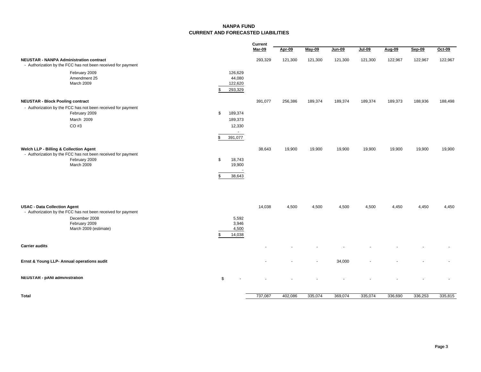### **NANPA FUNDCURRENT AND FORECASTED LIABILITIES**

|                                                |                                                                                                                         |          |                                         | Current |         |         |               |               |         |         |         |
|------------------------------------------------|-------------------------------------------------------------------------------------------------------------------------|----------|-----------------------------------------|---------|---------|---------|---------------|---------------|---------|---------|---------|
|                                                |                                                                                                                         |          |                                         | Mar-09  | Apr-09  | May-09  | <b>Jun-09</b> | <b>Jul-09</b> | Aug-09  | Sep-09  | Oct-09  |
| <b>NEUSTAR - NANPA Administration contract</b> | - Authorization by the FCC has not been received for payment                                                            |          |                                         | 293,329 | 121,300 | 121,300 | 121,300       | 121,300       | 122,967 | 122,967 | 122,967 |
|                                                | February 2009<br>Amendment 25<br>March 2009                                                                             | \$       | 126,629<br>44,080<br>122,620<br>293,329 |         |         |         |               |               |         |         |         |
| <b>NEUSTAR - Block Pooling contract</b>        |                                                                                                                         |          |                                         | 391,077 | 256,386 | 189,374 | 189,374       | 189,374       | 189,373 | 188,936 | 188,498 |
|                                                | - Authorization by the FCC has not been received for payment<br>February 2009                                           | \$       | 189,374                                 |         |         |         |               |               |         |         |         |
|                                                | March 2009<br>CO #3                                                                                                     |          | 189,373<br>12,330<br>$\sim$             |         |         |         |               |               |         |         |         |
|                                                |                                                                                                                         |          | 391,077                                 |         |         |         |               |               |         |         |         |
| Welch LLP - Billing & Collection Agent         | - Authorization by the FCC has not been received for payment<br>February 2009<br>March 2009                             | \$<br>\$ | 18,743<br>19,900<br>38,643              | 38,643  | 19,900  | 19,900  | 19,900        | 19,900        | 19,900  | 19,900  | 19,900  |
| <b>USAC - Data Collection Agent</b>            | - Authorization by the FCC has not been received for payment<br>December 2008<br>February 2009<br>March 2009 (estimate) | \$       | 5,592<br>3,946<br>4,500<br>14,038       | 14,038  | 4,500   | 4,500   | 4,500         | 4,500         | 4,450   | 4,450   | 4,450   |
| <b>Carrier audits</b>                          |                                                                                                                         |          |                                         |         |         |         |               |               |         |         |         |
| Ernst & Young LLP- Annual operations audit     |                                                                                                                         |          |                                         |         |         |         | 34,000        |               |         |         |         |
| <b>NEUSTAR - pANI administration</b>           |                                                                                                                         |          | \$                                      |         |         |         |               |               |         |         |         |

**Total** 402,086 737,087 335,074 369,074 335,074 336,690 336,253 335,815